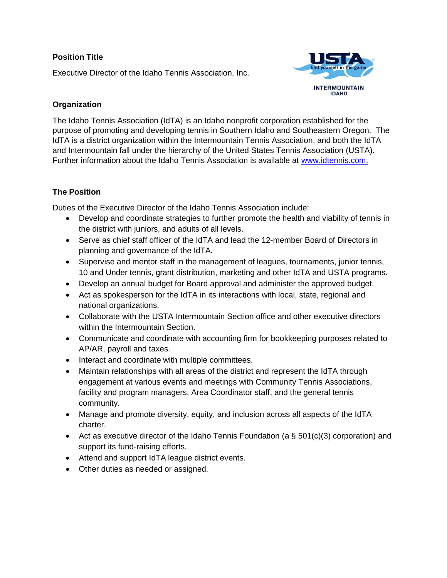### **Position Title**

Executive Director of the Idaho Tennis Association, Inc.



### **Organization**

The Idaho Tennis Association (IdTA) is an Idaho nonprofit corporation established for the purpose of promoting and developing tennis in Southern Idaho and Southeastern Oregon. The IdTA is a district organization within the Intermountain Tennis Association, and both the IdTA and Intermountain fall under the hierarchy of the United States Tennis Association (USTA). Further information about the Idaho Tennis Association is available at [www.idtennis.com.](http://www.idtennis.com/)

# **The Position**

Duties of the Executive Director of the Idaho Tennis Association include:

- Develop and coordinate strategies to further promote the health and viability of tennis in the district with juniors, and adults of all levels.
- Serve as chief staff officer of the IdTA and lead the 12-member Board of Directors in planning and governance of the IdTA.
- Supervise and mentor staff in the management of leagues, tournaments, junior tennis, 10 and Under tennis, grant distribution, marketing and other IdTA and USTA programs.
- Develop an annual budget for Board approval and administer the approved budget.
- Act as spokesperson for the IdTA in its interactions with local, state, regional and national organizations.
- Collaborate with the USTA Intermountain Section office and other executive directors within the Intermountain Section.
- Communicate and coordinate with accounting firm for bookkeeping purposes related to AP/AR, payroll and taxes.
- Interact and coordinate with multiple committees.
- Maintain relationships with all areas of the district and represent the IdTA through engagement at various events and meetings with Community Tennis Associations, facility and program managers, Area Coordinator staff, and the general tennis community.
- Manage and promote diversity, equity, and inclusion across all aspects of the IdTA charter.
- Act as executive director of the Idaho Tennis Foundation (a  $\S$  501(c)(3) corporation) and support its fund-raising efforts.
- Attend and support IdTA league district events.
- Other duties as needed or assigned.